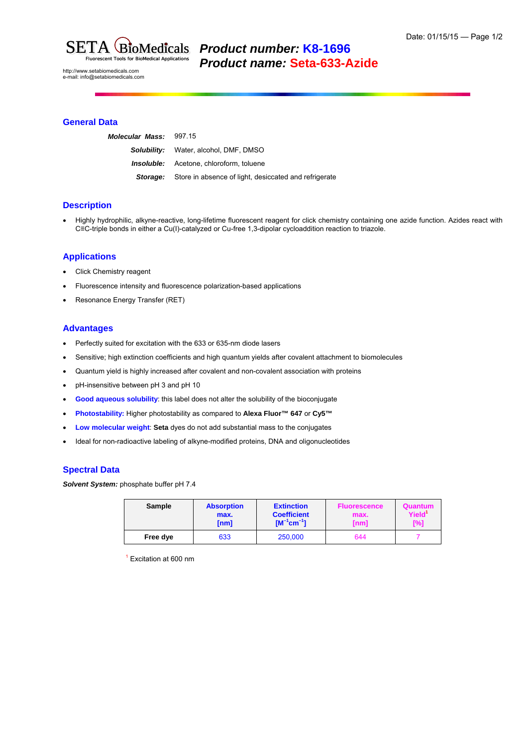

# *Product number:* **K8-1696** *Product name:* **Seta-633-Azide**

http://www.setabiomedicals.com e-mail: info@setabiomedicals.com

### **General Data**

| Molecular Mass: 997.15 |                                                                       |  |
|------------------------|-----------------------------------------------------------------------|--|
|                        | <b>Solubility:</b> Water, alcohol, DMF, DMSO                          |  |
|                        | <b>Insoluble:</b> Acetone, chloroform, toluene                        |  |
|                        | <b>Storage:</b> Store in absence of light, desiccated and refrigerate |  |

### **Description**

 Highly hydrophilic, alkyne-reactive, long-lifetime fluorescent reagent for click chemistry containing one azide function. Azides react with C≡C-triple bonds in either a Cu(I)-catalyzed or Cu-free 1,3-dipolar cycloaddition reaction to triazole.

## **Applications**

- Click Chemistry reagent
- Fluorescence intensity and fluorescence polarization-based applications
- Resonance Energy Transfer (RET)

### **Advantages**

- Perfectly suited for excitation with the 633 or 635-nm diode lasers
- Sensitive; high extinction coefficients and high quantum yields after covalent attachment to biomolecules
- Quantum yield is highly increased after covalent and non-covalent association with proteins
- pH-insensitive between pH 3 and pH 10
- **Good aqueous solubility**: this label does not alter the solubility of the bioconjugate
- **Photostability:** Higher photostability as compared to **Alexa Fluor™ 647** or **Cy5™**
- **Low molecular weight**: **Seta** dyes do not add substantial mass to the conjugates
- Ideal for non-radioactive labeling of alkyne-modified proteins, DNA and oligonucleotides

## **Spectral Data**

*Solvent System:* phosphate buffer pH 7.4

| <b>Sample</b> | <b>Absorption</b> | <b>Extinction</b>  | <b>Fluorescence</b> | Quantum            |
|---------------|-------------------|--------------------|---------------------|--------------------|
|               | max.              | <b>Coefficient</b> | max.                | Yield <sup>1</sup> |
|               | [nm]              | $[M^{-1}cm^{-1}]$  | [nm]                | [%]                |
| Free dye      | 633               | 250,000            | 644                 |                    |

1 Excitation at 600 nm